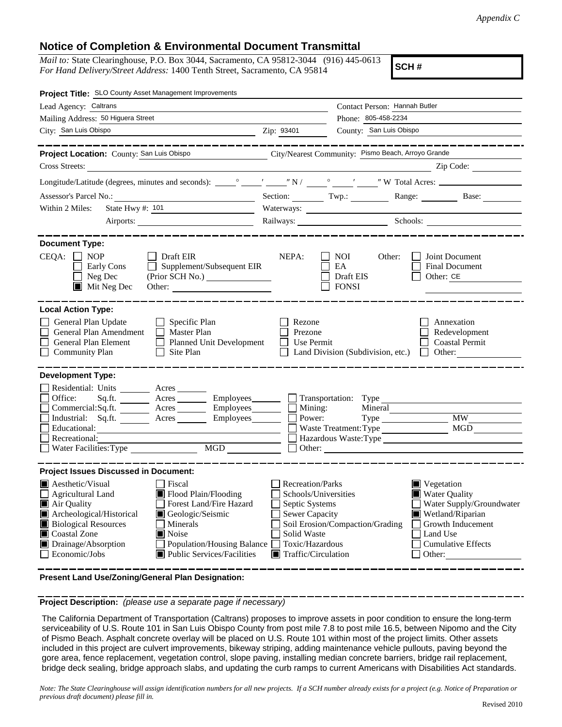## **Notice of Completion & Environmental Document Transmittal**

*Mail to:* State Clearinghouse, P.O. Box 3044, Sacramento, CA 95812-3044 (916) 445-0613 *For Hand Delivery/Street Address:* 1400 Tenth Street, Sacramento, CA 95814

**SCH #**

| Project Title: SLO County Asset Management Improvements                                                                                                                                                                                                                                                                                                                                                                 |                                                                                                                                                     |                                                    |                                                                                                                                                                    |
|-------------------------------------------------------------------------------------------------------------------------------------------------------------------------------------------------------------------------------------------------------------------------------------------------------------------------------------------------------------------------------------------------------------------------|-----------------------------------------------------------------------------------------------------------------------------------------------------|----------------------------------------------------|--------------------------------------------------------------------------------------------------------------------------------------------------------------------|
| Lead Agency: Caltrans                                                                                                                                                                                                                                                                                                                                                                                                   |                                                                                                                                                     | Contact Person: Hannah Butler                      |                                                                                                                                                                    |
| Mailing Address: 50 Higuera Street                                                                                                                                                                                                                                                                                                                                                                                      |                                                                                                                                                     | Phone: 805-458-2234                                |                                                                                                                                                                    |
| City: San Luis Obispo                                                                                                                                                                                                                                                                                                                                                                                                   | Zip: 93401                                                                                                                                          | County: San Luis Obispo                            |                                                                                                                                                                    |
| Project Location: County: San Luis Obispo                                                                                                                                                                                                                                                                                                                                                                               |                                                                                                                                                     | City/Nearest Community: Pismo Beach, Arroyo Grande |                                                                                                                                                                    |
| <b>Cross Streets:</b>                                                                                                                                                                                                                                                                                                                                                                                                   |                                                                                                                                                     |                                                    | Zip Code:                                                                                                                                                          |
|                                                                                                                                                                                                                                                                                                                                                                                                                         |                                                                                                                                                     |                                                    |                                                                                                                                                                    |
|                                                                                                                                                                                                                                                                                                                                                                                                                         |                                                                                                                                                     |                                                    | Section: Twp.: Twp.: Range: Base: Base:                                                                                                                            |
| Within 2 Miles:<br>State Hwy #: 101                                                                                                                                                                                                                                                                                                                                                                                     |                                                                                                                                                     |                                                    |                                                                                                                                                                    |
| Airports:                                                                                                                                                                                                                                                                                                                                                                                                               |                                                                                                                                                     |                                                    | Railways: Schools: Schools:                                                                                                                                        |
| <b>Document Type:</b><br>$CEQA: \Box NOP$<br>$\Box$ Draft EIR<br>$\Box$ Supplement/Subsequent EIR<br>Early Cons<br>$\Box$ Neg Dec<br>Mit Neg Dec                                                                                                                                                                                                                                                                        | NEPA:                                                                                                                                               | NOI<br>Other:<br>EA<br>Draft EIS<br><b>FONSI</b>   | Joint Document<br>Final Document<br>Other: CE                                                                                                                      |
| <b>Local Action Type:</b>                                                                                                                                                                                                                                                                                                                                                                                               |                                                                                                                                                     |                                                    |                                                                                                                                                                    |
| General Plan Update<br>$\Box$ Specific Plan<br>General Plan Amendment<br>$\Box$ Master Plan<br><b>General Plan Element</b><br>Planned Unit Development<br><b>Community Plan</b><br>Site Plan                                                                                                                                                                                                                            | Rezone<br>Prezone<br>Use Permit                                                                                                                     | Land Division (Subdivision, etc.)                  | Annexation<br>Redevelopment<br><b>Coastal Permit</b><br>Other:<br>$\perp$                                                                                          |
| <b>Development Type:</b><br>Residential: Units ________ Acres ______<br>Office:<br>Sq.ft. ________ Acres _________ Employees _______ __ Transportation: Type<br>$Commercial:Sq.fit.$ $\qquad \qquad \text{Acres}$ $\qquad \qquad \text{Employees}$ $\qquad \qquad \text{Mining:}$<br>Industrial: Sq.ft. _______ Acres _______ Employees ______ $\Box$<br>Educational:<br>Recreational:<br>MGD<br>Water Facilities: Type |                                                                                                                                                     | Power:<br>Waste Treatment: Type                    | <b>MW</b><br>MGD<br>Hazardous Waste:Type                                                                                                                           |
| <b>Project Issues Discussed in Document:</b>                                                                                                                                                                                                                                                                                                                                                                            |                                                                                                                                                     |                                                    |                                                                                                                                                                    |
| Aesthetic/Visual<br>Fiscal<br>Flood Plain/Flooding<br>$\Box$ Agricultural Land<br>Forest Land/Fire Hazard<br>Air Quality<br>Archeological/Historical<br>Geologic/Seismic<br><b>Biological Resources</b><br>Minerals<br>Coastal Zone<br><b>■</b> Noise<br>Drainage/Absorption<br>Population/Housing Balance<br>Public Services/Facilities<br>Economic/Jobs                                                               | <b>Recreation/Parks</b><br>Schools/Universities<br>Septic Systems<br><b>Sewer Capacity</b><br>Solid Waste<br>Toxic/Hazardous<br>Traffic/Circulation | Soil Erosion/Compaction/Grading                    | $\blacksquare$ Vegetation<br>Water Quality<br>Water Supply/Groundwater<br>Wetland/Riparian<br>Growth Inducement<br>Land Use<br><b>Cumulative Effects</b><br>Other: |

**Present Land Use/Zoning/General Plan Designation:**

**Project Description:** *(please use a separate page if necessary)*

 The California Department of Transportation (Caltrans) proposes to improve assets in poor condition to ensure the long-term serviceability of U.S. Route 101 in San Luis Obispo County from post mile 7.8 to post mile 16.5, between Nipomo and the City of Pismo Beach. Asphalt concrete overlay will be placed on U.S. Route 101 within most of the project limits. Other assets included in this project are culvert improvements, bikeway striping, adding maintenance vehicle pullouts, paving beyond the gore area, fence replacement, vegetation control, slope paving, installing median concrete barriers, bridge rail replacement, bridge deck sealing, bridge approach slabs, and updating the curb ramps to current Americans with Disabilities Act standards.

*Note: The State Clearinghouse will assign identification numbers for all new projects. If a SCH number already exists for a project (e.g. Notice of Preparation or previous draft document) please fill in.*